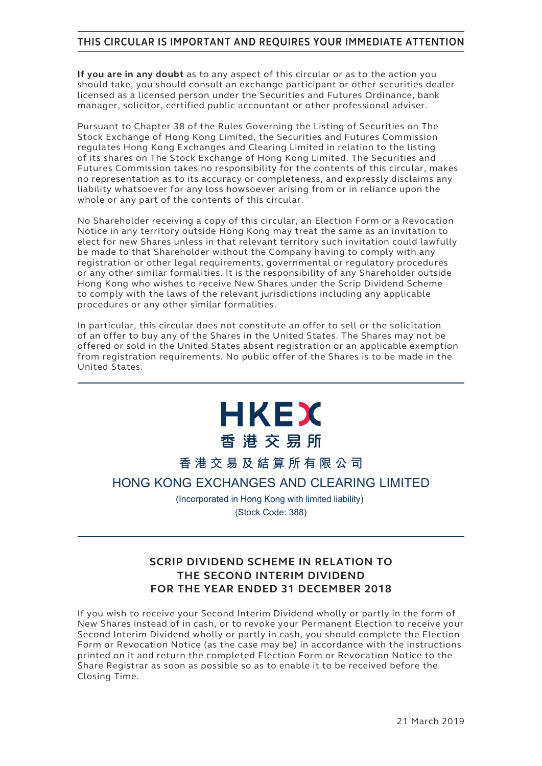## **THIS CIRCULAR IS IMPORTANT AND REQUIRES YOUR IMMEDIATE ATTENTION**

**If you are in any doubt** as to any aspect of this circular or as to the action you should take, you should consult an exchange participant or other securities dealer licensed as a licensed person under the Securities and Futures Ordinance, bank manager, solicitor, certified public accountant or other professional adviser.

Pursuant to Chapter 38 of the Rules Governing the Listing of Securities on The Stock Exchange of Hong Kong Limited, the Securities and Futures Commission regulates Hong Kong Exchanges and Clearing Limited in relation to the listing of its shares on The Stock Exchange of Hong Kong Limited. The Securities and Futures Commission takes no responsibility for the contents of this circular, makes no representation as to its accuracy or completeness, and expressly disclaims any liability whatsoever for any loss howsoever arising from or in reliance upon the whole or any part of the contents of this circular.

No Shareholder receiving a copy of this circular, an Election Form or a Revocation Notice in any territory outside Hong Kong may treat the same as an invitation to elect for new Shares unless in that relevant territory such invitation could lawfully be made to that Shareholder without the Company having to comply with any registration or other legal requirements, governmental or regulatory procedures or any other similar formalities. It is the responsibility of any Shareholder outside Hong Kong who wishes to receive New Shares under the Scrip Dividend Scheme to comply with the laws of the relevant jurisdictions including any applicable procedures or any other similar formalities.

In particular, this circular does not constitute an offer to sell or the solicitation of an offer to buy any of the Shares in the United States. The Shares may not be offered or sold in the United States absent registration or an applicable exemption from registration requirements. No public offer of the Shares is to be made in the United States.

# **HKEX** 香港交易所

**香港交易及結算所有限公司**

**HONG KONG EXCHANGES AND CLEARING LIMITED**

(Incorporated in Hong Kong with limited liability) (Stock Code: 388)

## **SCRIP DIVIDEND SCHEME IN RELATION TO THE SECOND INTERIM DIVIDEND FOR THE YEAR ENDED 31 DECEMBER 2018**

If you wish to receive your Second Interim Dividend wholly or partly in the form of New Shares instead of in cash, or to revoke your Permanent Election to receive your Second Interim Dividend wholly or partly in cash, you should complete the Election Form or Revocation Notice (as the case may be) in accordance with the instructions printed on it and return the completed Election Form or Revocation Notice to the Share Registrar as soon as possible so as to enable it to be received before the Closing Time.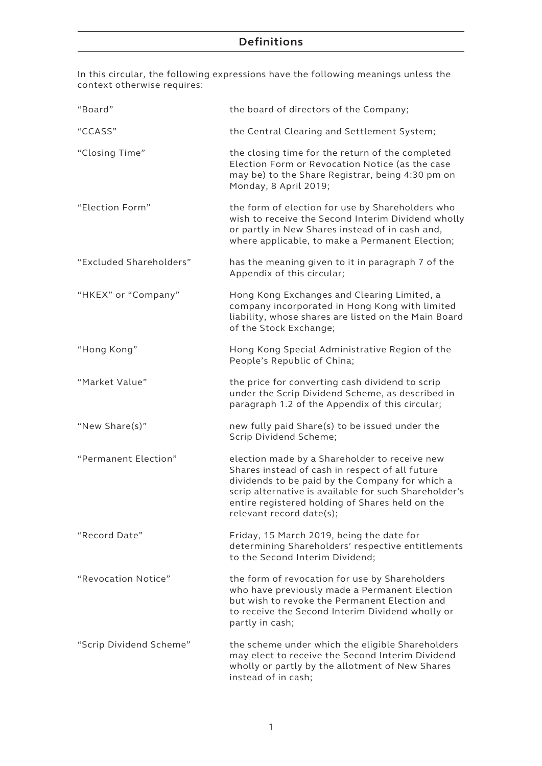In this circular, the following expressions have the following meanings unless the context otherwise requires:

| "Board"                 | the board of directors of the Company;                                                                                                                                                                                                                                                      |
|-------------------------|---------------------------------------------------------------------------------------------------------------------------------------------------------------------------------------------------------------------------------------------------------------------------------------------|
| "CCASS"                 | the Central Clearing and Settlement System;                                                                                                                                                                                                                                                 |
| "Closing Time"          | the closing time for the return of the completed<br>Election Form or Revocation Notice (as the case<br>may be) to the Share Registrar, being 4:30 pm on<br>Monday, 8 April 2019;                                                                                                            |
| "Election Form"         | the form of election for use by Shareholders who<br>wish to receive the Second Interim Dividend wholly<br>or partly in New Shares instead of in cash and,<br>where applicable, to make a Permanent Election;                                                                                |
| "Excluded Shareholders" | has the meaning given to it in paragraph 7 of the<br>Appendix of this circular;                                                                                                                                                                                                             |
| "HKEX" or "Company"     | Hong Kong Exchanges and Clearing Limited, a<br>company incorporated in Hong Kong with limited<br>liability, whose shares are listed on the Main Board<br>of the Stock Exchange;                                                                                                             |
| "Hong Kong"             | Hong Kong Special Administrative Region of the<br>People's Republic of China;                                                                                                                                                                                                               |
| "Market Value"          | the price for converting cash dividend to scrip<br>under the Scrip Dividend Scheme, as described in<br>paragraph 1.2 of the Appendix of this circular;                                                                                                                                      |
| "New Share(s)"          | new fully paid Share(s) to be issued under the<br>Scrip Dividend Scheme;                                                                                                                                                                                                                    |
| "Permanent Election"    | election made by a Shareholder to receive new<br>Shares instead of cash in respect of all future<br>dividends to be paid by the Company for which a<br>scrip alternative is available for such Shareholder's<br>entire registered holding of Shares held on the<br>relevant record date(s); |
| "Record Date"           | Friday, 15 March 2019, being the date for<br>determining Shareholders' respective entitlements<br>to the Second Interim Dividend;                                                                                                                                                           |
| "Revocation Notice"     | the form of revocation for use by Shareholders<br>who have previously made a Permanent Election<br>but wish to revoke the Permanent Election and<br>to receive the Second Interim Dividend wholly or<br>partly in cash;                                                                     |
| "Scrip Dividend Scheme" | the scheme under which the eligible Shareholders<br>may elect to receive the Second Interim Dividend<br>wholly or partly by the allotment of New Shares<br>instead of in cash;                                                                                                              |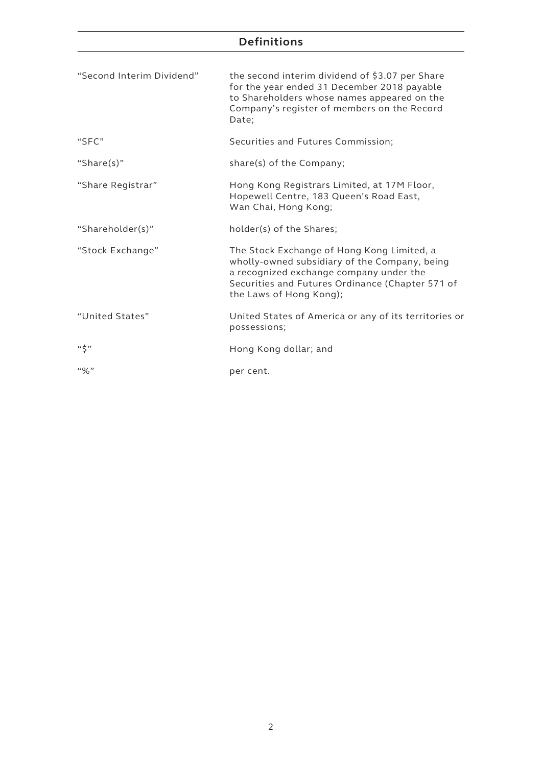## **Definitions**

| "Second Interim Dividend" | the second interim dividend of \$3.07 per Share<br>for the year ended 31 December 2018 payable<br>to Shareholders whose names appeared on the<br>Company's register of members on the Record<br>Date;                 |
|---------------------------|-----------------------------------------------------------------------------------------------------------------------------------------------------------------------------------------------------------------------|
| "SFC"                     | Securities and Futures Commission;                                                                                                                                                                                    |
| "Share $(s)$ "            | share(s) of the Company;                                                                                                                                                                                              |
| "Share Registrar"         | Hong Kong Registrars Limited, at 17M Floor,<br>Hopewell Centre, 183 Queen's Road East,<br>Wan Chai, Hong Kong;                                                                                                        |
| "Shareholder(s)"          | holder(s) of the Shares;                                                                                                                                                                                              |
| "Stock Exchange"          | The Stock Exchange of Hong Kong Limited, a<br>wholly-owned subsidiary of the Company, being<br>a recognized exchange company under the<br>Securities and Futures Ordinance (Chapter 571 of<br>the Laws of Hong Kong); |
| "United States"           | United States of America or any of its territories or<br>possessions;                                                                                                                                                 |
| $``\zeta"$                | Hong Kong dollar; and                                                                                                                                                                                                 |
| $``\%"$                   | per cent.                                                                                                                                                                                                             |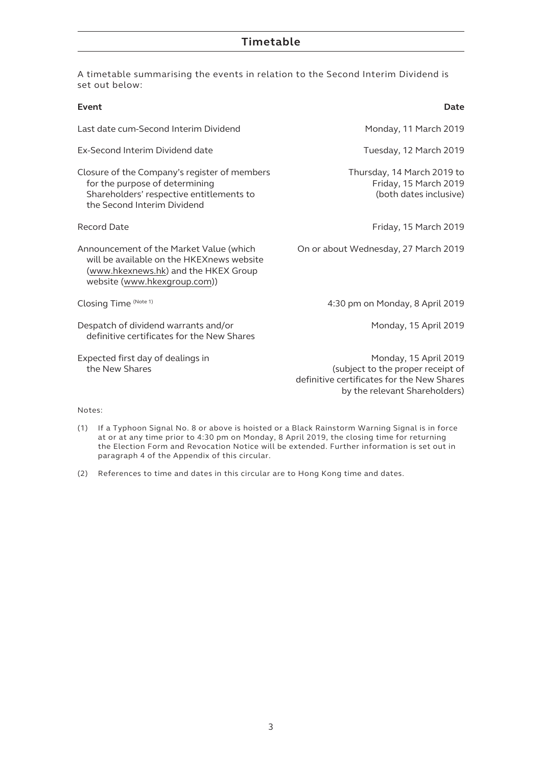A timetable summarising the events in relation to the Second Interim Dividend is set out below:

| Event                                                                                                                                                        | Date                                                                                                                                      |
|--------------------------------------------------------------------------------------------------------------------------------------------------------------|-------------------------------------------------------------------------------------------------------------------------------------------|
| Last date cum-Second Interim Dividend                                                                                                                        | Monday, 11 March 2019                                                                                                                     |
| Ex-Second Interim Dividend date                                                                                                                              | Tuesday, 12 March 2019                                                                                                                    |
| Closure of the Company's register of members<br>for the purpose of determining<br>Shareholders' respective entitlements to<br>the Second Interim Dividend    | Thursday, 14 March 2019 to<br>Friday, 15 March 2019<br>(both dates inclusive)                                                             |
| Record Date                                                                                                                                                  | Friday, 15 March 2019                                                                                                                     |
| Announcement of the Market Value (which<br>will be available on the HKEXnews website<br>(www.hkexnews.hk) and the HKEX Group<br>website (www.hkexgroup.com)) | On or about Wednesday, 27 March 2019                                                                                                      |
| Closing Time (Note 1)                                                                                                                                        | 4:30 pm on Monday, 8 April 2019                                                                                                           |
| Despatch of dividend warrants and/or<br>definitive certificates for the New Shares                                                                           | Monday, 15 April 2019                                                                                                                     |
| Expected first day of dealings in<br>the New Shares                                                                                                          | Monday, 15 April 2019<br>(subject to the proper receipt of<br>definitive certificates for the New Shares<br>by the relevant Shareholders) |

#### Notes:

- (1) If a Typhoon Signal No. 8 or above is hoisted or a Black Rainstorm Warning Signal is in force at or at any time prior to 4:30 pm on Monday, 8 April 2019, the closing time for returning the Election Form and Revocation Notice will be extended. Further information is set out in paragraph 4 of the Appendix of this circular.
- (2) References to time and dates in this circular are to Hong Kong time and dates.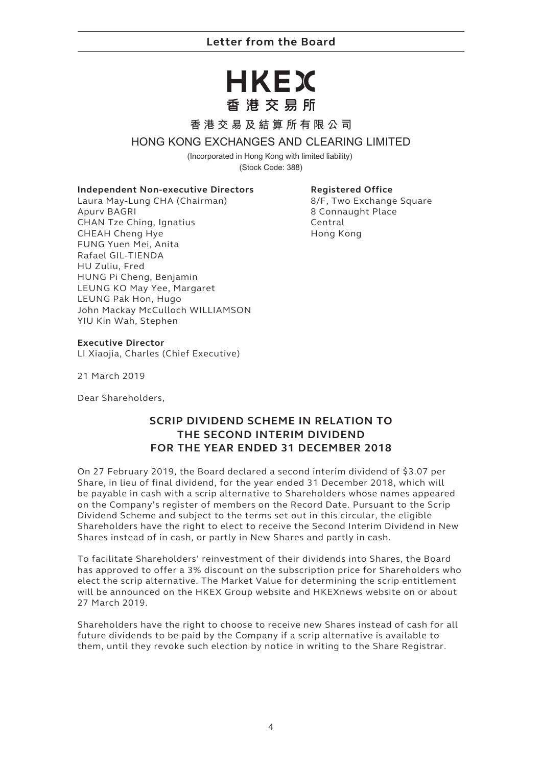## **Letter from the Board**

## HKEX 香港交易所

#### **香港交易及結算所有限公司**

#### **HONG KONG EXCHANGES AND CLEARING LIMITED**

(Incorporated in Hong Kong with limited liability) (Stock Code: 388)

#### **Independent Non-executive Directors**

Laura May-Lung CHA (Chairman) Apurv BAGRI CHAN Tze Ching, Ignatius CHEAH Cheng Hye FUNG Yuen Mei, Anita Rafael GIL-TIENDA HU Zuliu, Fred HUNG Pi Cheng, Benjamin LEUNG KO May Yee, Margaret LEUNG Pak Hon, Hugo John Mackay McCulloch WILLIAMSON YIU Kin Wah, Stephen

#### **Registered Office**

8/F, Two Exchange Square 8 Connaught Place Central Hong Kong

#### **Executive Director**

LI Xiaojia, Charles (Chief Executive)

21 March 2019

Dear Shareholders,

## **SCRIP DIVIDEND SCHEME IN RELATION TO THE SECOND INTERIM DIVIDEND FOR THE YEAR ENDED 31 DECEMBER 2018**

On 27 February 2019, the Board declared a second interim dividend of \$3.07 per Share, in lieu of final dividend, for the year ended 31 December 2018, which will be payable in cash with a scrip alternative to Shareholders whose names appeared on the Company's register of members on the Record Date. Pursuant to the Scrip Dividend Scheme and subject to the terms set out in this circular, the eligible Shareholders have the right to elect to receive the Second Interim Dividend in New Shares instead of in cash, or partly in New Shares and partly in cash.

To facilitate Shareholders' reinvestment of their dividends into Shares, the Board has approved to offer a 3% discount on the subscription price for Shareholders who elect the scrip alternative. The Market Value for determining the scrip entitlement will be announced on the HKEX Group website and HKEXnews website on or about 27 March 2019.

Shareholders have the right to choose to receive new Shares instead of cash for all future dividends to be paid by the Company if a scrip alternative is available to them, until they revoke such election by notice in writing to the Share Registrar.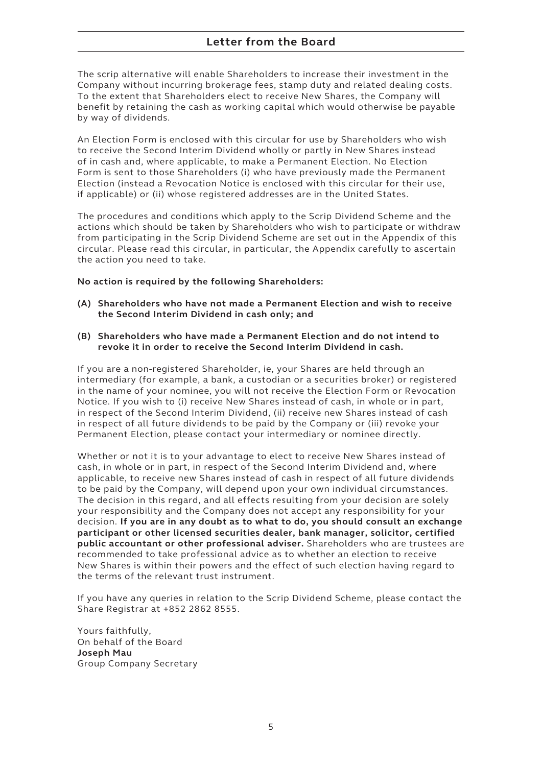The scrip alternative will enable Shareholders to increase their investment in the Company without incurring brokerage fees, stamp duty and related dealing costs. To the extent that Shareholders elect to receive New Shares, the Company will benefit by retaining the cash as working capital which would otherwise be payable by way of dividends.

An Election Form is enclosed with this circular for use by Shareholders who wish to receive the Second Interim Dividend wholly or partly in New Shares instead of in cash and, where applicable, to make a Permanent Election. No Election Form is sent to those Shareholders (i) who have previously made the Permanent Election (instead a Revocation Notice is enclosed with this circular for their use, if applicable) or (ii) whose registered addresses are in the United States.

The procedures and conditions which apply to the Scrip Dividend Scheme and the actions which should be taken by Shareholders who wish to participate or withdraw from participating in the Scrip Dividend Scheme are set out in the Appendix of this circular. Please read this circular, in particular, the Appendix carefully to ascertain the action you need to take.

#### **No action is required by the following Shareholders:**

- **(A) Shareholders who have not made a Permanent Election and wish to receive the Second Interim Dividend in cash only; and**
- **(B) Shareholders who have made a Permanent Election and do not intend to revoke it in order to receive the Second Interim Dividend in cash.**

If you are a non-registered Shareholder, ie, your Shares are held through an intermediary (for example, a bank, a custodian or a securities broker) or registered in the name of your nominee, you will not receive the Election Form or Revocation Notice. If you wish to (i) receive New Shares instead of cash, in whole or in part, in respect of the Second Interim Dividend, (ii) receive new Shares instead of cash in respect of all future dividends to be paid by the Company or (iii) revoke your Permanent Election, please contact your intermediary or nominee directly.

Whether or not it is to your advantage to elect to receive New Shares instead of cash, in whole or in part, in respect of the Second Interim Dividend and, where applicable, to receive new Shares instead of cash in respect of all future dividends to be paid by the Company, will depend upon your own individual circumstances. The decision in this regard, and all effects resulting from your decision are solely your responsibility and the Company does not accept any responsibility for your decision. **If you are in any doubt as to what to do, you should consult an exchange participant or other licensed securities dealer, bank manager, solicitor, certified public accountant or other professional adviser.** Shareholders who are trustees are recommended to take professional advice as to whether an election to receive New Shares is within their powers and the effect of such election having regard to the terms of the relevant trust instrument.

If you have any queries in relation to the Scrip Dividend Scheme, please contact the Share Registrar at +852 2862 8555.

Yours faithfully, On behalf of the Board **Joseph Mau** Group Company Secretary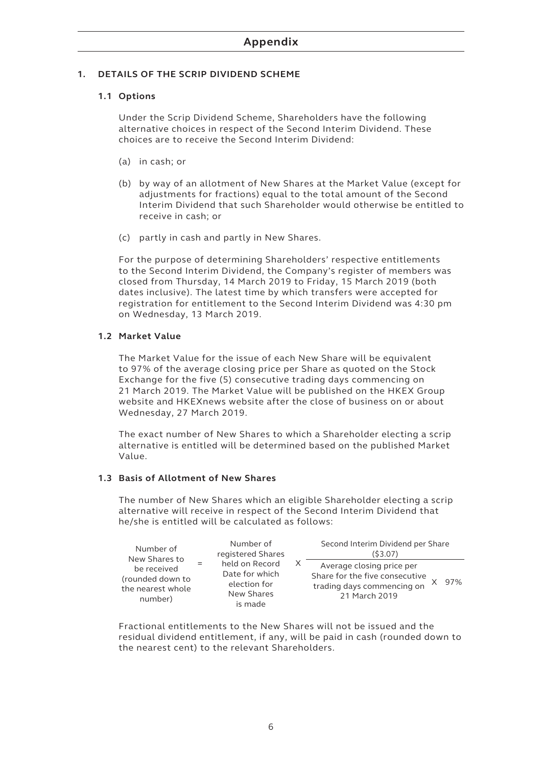#### **1. DETAILS OF THE SCRIP DIVIDEND SCHEME**

#### **1.1 Options**

Under the Scrip Dividend Scheme, Shareholders have the following alternative choices in respect of the Second Interim Dividend. These choices are to receive the Second Interim Dividend:

- (a) in cash; or
- (b) by way of an allotment of New Shares at the Market Value (except for adjustments for fractions) equal to the total amount of the Second Interim Dividend that such Shareholder would otherwise be entitled to receive in cash; or
- (c) partly in cash and partly in New Shares.

For the purpose of determining Shareholders' respective entitlements to the Second Interim Dividend, the Company's register of members was closed from Thursday, 14 March 2019 to Friday, 15 March 2019 (both dates inclusive). The latest time by which transfers were accepted for registration for entitlement to the Second Interim Dividend was 4:30 pm on Wednesday, 13 March 2019.

#### **1.2 Market Value**

The Market Value for the issue of each New Share will be equivalent to 97% of the average closing price per Share as quoted on the Stock Exchange for the five (5) consecutive trading days commencing on 21 March 2019. The Market Value will be published on the HKEX Group website and HKEXnews website after the close of business on or about Wednesday, 27 March 2019.

The exact number of New Shares to which a Shareholder electing a scrip alternative is entitled will be determined based on the published Market Value.

#### **1.3 Basis of Allotment of New Shares**

The number of New Shares which an eligible Shareholder electing a scrip alternative will receive in respect of the Second Interim Dividend that he/she is entitled will be calculated as follows:

| Number of                                                       | Number of         | Second Interim Dividend per Share                                         |  |                                                                                                            |     |
|-----------------------------------------------------------------|-------------------|---------------------------------------------------------------------------|--|------------------------------------------------------------------------------------------------------------|-----|
| New Shares to                                                   | registered Shares | (53.07)                                                                   |  |                                                                                                            |     |
| be received<br>(rounded down to<br>the nearest whole<br>number) |                   | held on Record<br>Date for which<br>election for<br>New Shares<br>is made |  | Average closing price per<br>Share for the five consecutive<br>trading days commencing on<br>21 March 2019 | 97% |

Fractional entitlements to the New Shares will not be issued and the residual dividend entitlement, if any, will be paid in cash (rounded down to the nearest cent) to the relevant Shareholders.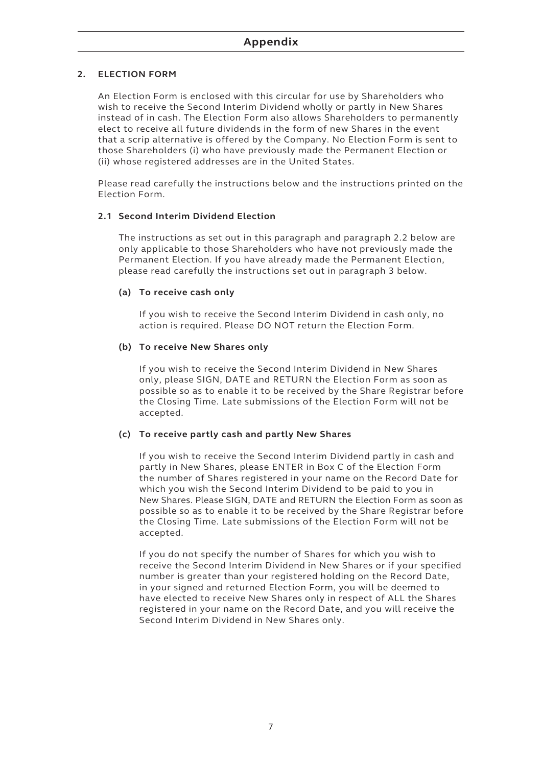#### **2. ELECTION FORM**

An Election Form is enclosed with this circular for use by Shareholders who wish to receive the Second Interim Dividend wholly or partly in New Shares instead of in cash. The Election Form also allows Shareholders to permanently elect to receive all future dividends in the form of new Shares in the event that a scrip alternative is offered by the Company. No Election Form is sent to those Shareholders (i) who have previously made the Permanent Election or (ii) whose registered addresses are in the United States.

Please read carefully the instructions below and the instructions printed on the Election Form.

#### **2.1 Second Interim Dividend Election**

The instructions as set out in this paragraph and paragraph 2.2 below are only applicable to those Shareholders who have not previously made the Permanent Election. If you have already made the Permanent Election, please read carefully the instructions set out in paragraph 3 below.

#### **(a) To receive cash only**

If you wish to receive the Second Interim Dividend in cash only, no action is required. Please DO NOT return the Election Form.

#### **(b) To receive New Shares only**

If you wish to receive the Second Interim Dividend in New Shares only, please SIGN, DATE and RETURN the Election Form as soon as possible so as to enable it to be received by the Share Registrar before the Closing Time. Late submissions of the Election Form will not be accepted.

#### **(c) To receive partly cash and partly New Shares**

If you wish to receive the Second Interim Dividend partly in cash and partly in New Shares, please ENTER in Box C of the Election Form the number of Shares registered in your name on the Record Date for which you wish the Second Interim Dividend to be paid to you in New Shares. Please SIGN, DATE and RETURN the Election Form as soon as possible so as to enable it to be received by the Share Registrar before the Closing Time. Late submissions of the Election Form will not be accepted.

If you do not specify the number of Shares for which you wish to receive the Second Interim Dividend in New Shares or if your specified number is greater than your registered holding on the Record Date, in your signed and returned Election Form, you will be deemed to have elected to receive New Shares only in respect of ALL the Shares registered in your name on the Record Date, and you will receive the Second Interim Dividend in New Shares only.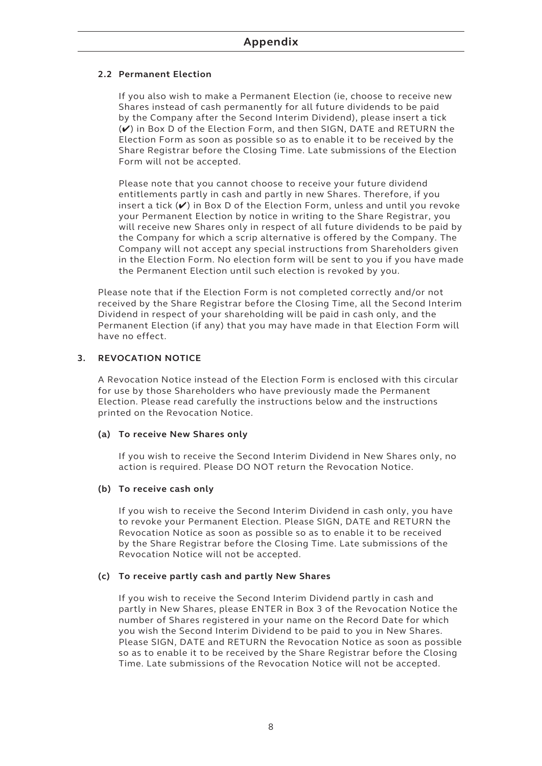#### **2.2 Permanent Election**

If you also wish to make a Permanent Election (ie, choose to receive new Shares instead of cash permanently for all future dividends to be paid by the Company after the Second Interim Dividend), please insert a tick (✔) in Box D of the Election Form, and then SIGN, DATE and RETURN the Election Form as soon as possible so as to enable it to be received by the Share Registrar before the Closing Time. Late submissions of the Election Form will not be accepted.

Please note that you cannot choose to receive your future dividend entitlements partly in cash and partly in new Shares. Therefore, if you insert a tick  $(V)$  in Box D of the Election Form, unless and until you revoke your Permanent Election by notice in writing to the Share Registrar, you will receive new Shares only in respect of all future dividends to be paid by the Company for which a scrip alternative is offered by the Company. The Company will not accept any special instructions from Shareholders given in the Election Form. No election form will be sent to you if you have made the Permanent Election until such election is revoked by you.

Please note that if the Election Form is not completed correctly and/or not received by the Share Registrar before the Closing Time, all the Second Interim Dividend in respect of your shareholding will be paid in cash only, and the Permanent Election (if any) that you may have made in that Election Form will have no effect.

#### **3. REVOCATION NOTICE**

A Revocation Notice instead of the Election Form is enclosed with this circular for use by those Shareholders who have previously made the Permanent Election. Please read carefully the instructions below and the instructions printed on the Revocation Notice.

#### **(a) To receive New Shares only**

If you wish to receive the Second Interim Dividend in New Shares only, no action is required. Please DO NOT return the Revocation Notice.

#### **(b) To receive cash only**

If you wish to receive the Second Interim Dividend in cash only, you have to revoke your Permanent Election. Please SIGN, DATE and RETURN the Revocation Notice as soon as possible so as to enable it to be received by the Share Registrar before the Closing Time. Late submissions of the Revocation Notice will not be accepted.

#### **(c) To receive partly cash and partly New Shares**

If you wish to receive the Second Interim Dividend partly in cash and partly in New Shares, please ENTER in Box 3 of the Revocation Notice the number of Shares registered in your name on the Record Date for which you wish the Second Interim Dividend to be paid to you in New Shares. Please SIGN, DATE and RETURN the Revocation Notice as soon as possible so as to enable it to be received by the Share Registrar before the Closing Time. Late submissions of the Revocation Notice will not be accepted.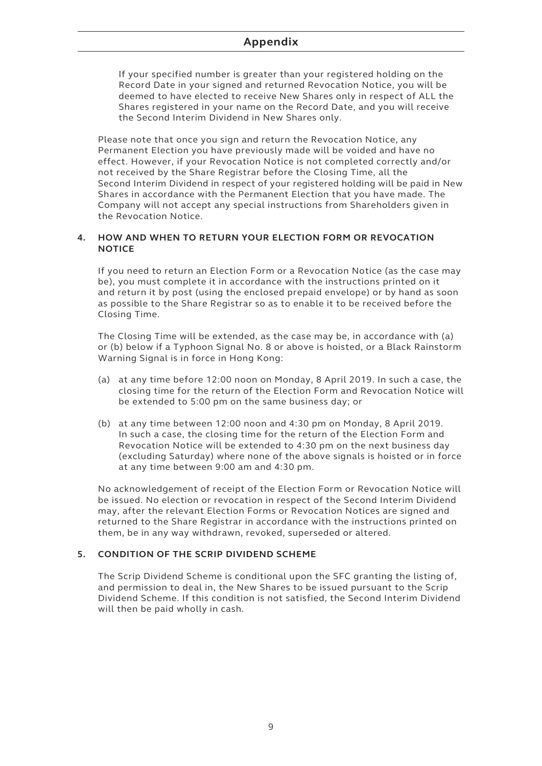If your specified number is greater than your registered holding on the Record Date in your signed and returned Revocation Notice, you will be deemed to have elected to receive New Shares only in respect of ALL the Shares registered in your name on the Record Date, and you will receive the Second Interim Dividend in New Shares only.

Please note that once you sign and return the Revocation Notice, any Permanent Election you have previously made will be voided and have no effect. However, if your Revocation Notice is not completed correctly and/or not received by the Share Registrar before the Closing Time, all the Second Interim Dividend in respect of your registered holding will be paid in New Shares in accordance with the Permanent Election that you have made. The Company will not accept any special instructions from Shareholders given in the Revocation Notice.

#### **4. HOW AND WHEN TO RETURN YOUR ELECTION FORM OR REVOCATION NOTICE**

If you need to return an Election Form or a Revocation Notice (as the case may be), you must complete it in accordance with the instructions printed on it and return it by post (using the enclosed prepaid envelope) or by hand as soon as possible to the Share Registrar so as to enable it to be received before the Closing Time.

The Closing Time will be extended, as the case may be, in accordance with (a) or (b) below if a Typhoon Signal No. 8 or above is hoisted, or a Black Rainstorm Warning Signal is in force in Hong Kong:

- (a) at any time before 12:00 noon on Monday, 8 April 2019. In such a case, the closing time for the return of the Election Form and Revocation Notice will be extended to 5:00 pm on the same business day; or
- (b) at any time between 12:00 noon and 4:30 pm on Monday, 8 April 2019. In such a case, the closing time for the return of the Election Form and Revocation Notice will be extended to 4:30 pm on the next business day (excluding Saturday) where none of the above signals is hoisted or in force at any time between 9:00 am and 4:30 pm.

No acknowledgement of receipt of the Election Form or Revocation Notice will be issued. No election or revocation in respect of the Second Interim Dividend may, after the relevant Election Forms or Revocation Notices are signed and returned to the Share Registrar in accordance with the instructions printed on them, be in any way withdrawn, revoked, superseded or altered.

#### **5. CONDITION OF THE SCRIP DIVIDEND SCHEME**

The Scrip Dividend Scheme is conditional upon the SFC granting the listing of, and permission to deal in, the New Shares to be issued pursuant to the Scrip Dividend Scheme. If this condition is not satisfied, the Second Interim Dividend will then be paid wholly in cash.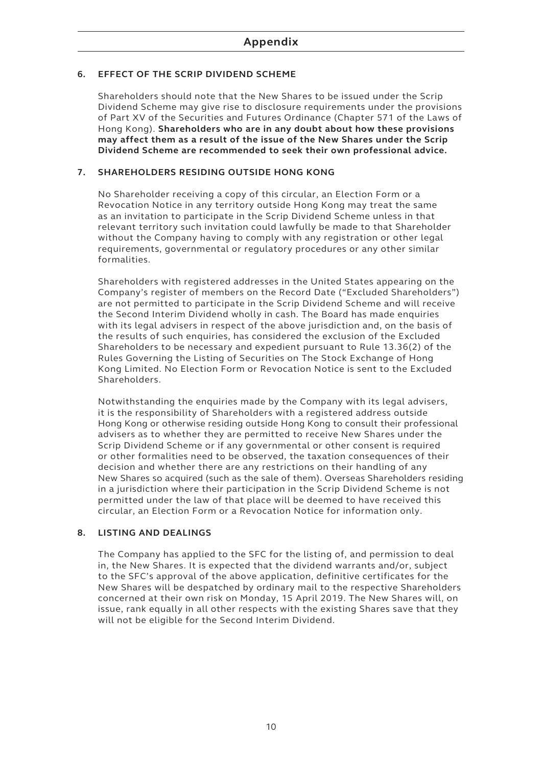#### **6. EFFECT OF THE SCRIP DIVIDEND SCHEME**

Shareholders should note that the New Shares to be issued under the Scrip Dividend Scheme may give rise to disclosure requirements under the provisions of Part XV of the Securities and Futures Ordinance (Chapter 571 of the Laws of Hong Kong). **Shareholders who are in any doubt about how these provisions may affect them as a result of the issue of the New Shares under the Scrip Dividend Scheme are recommended to seek their own professional advice.**

#### **7. SHAREHOLDERS RESIDING OUTSIDE HONG KONG**

No Shareholder receiving a copy of this circular, an Election Form or a Revocation Notice in any territory outside Hong Kong may treat the same as an invitation to participate in the Scrip Dividend Scheme unless in that relevant territory such invitation could lawfully be made to that Shareholder without the Company having to comply with any registration or other legal requirements, governmental or regulatory procedures or any other similar formalities.

Shareholders with registered addresses in the United States appearing on the Company's register of members on the Record Date ("Excluded Shareholders") are not permitted to participate in the Scrip Dividend Scheme and will receive the Second Interim Dividend wholly in cash. The Board has made enquiries with its legal advisers in respect of the above jurisdiction and, on the basis of the results of such enquiries, has considered the exclusion of the Excluded Shareholders to be necessary and expedient pursuant to Rule 13.36(2) of the Rules Governing the Listing of Securities on The Stock Exchange of Hong Kong Limited. No Election Form or Revocation Notice is sent to the Excluded Shareholders.

Notwithstanding the enquiries made by the Company with its legal advisers, it is the responsibility of Shareholders with a registered address outside Hong Kong or otherwise residing outside Hong Kong to consult their professional advisers as to whether they are permitted to receive New Shares under the Scrip Dividend Scheme or if any governmental or other consent is required or other formalities need to be observed, the taxation consequences of their decision and whether there are any restrictions on their handling of any New Shares so acquired (such as the sale of them). Overseas Shareholders residing in a jurisdiction where their participation in the Scrip Dividend Scheme is not permitted under the law of that place will be deemed to have received this circular, an Election Form or a Revocation Notice for information only.

#### **8. LISTING AND DEALINGS**

The Company has applied to the SFC for the listing of, and permission to deal in, the New Shares. It is expected that the dividend warrants and/or, subject to the SFC's approval of the above application, definitive certificates for the New Shares will be despatched by ordinary mail to the respective Shareholders concerned at their own risk on Monday, 15 April 2019. The New Shares will, on issue, rank equally in all other respects with the existing Shares save that they will not be eligible for the Second Interim Dividend.